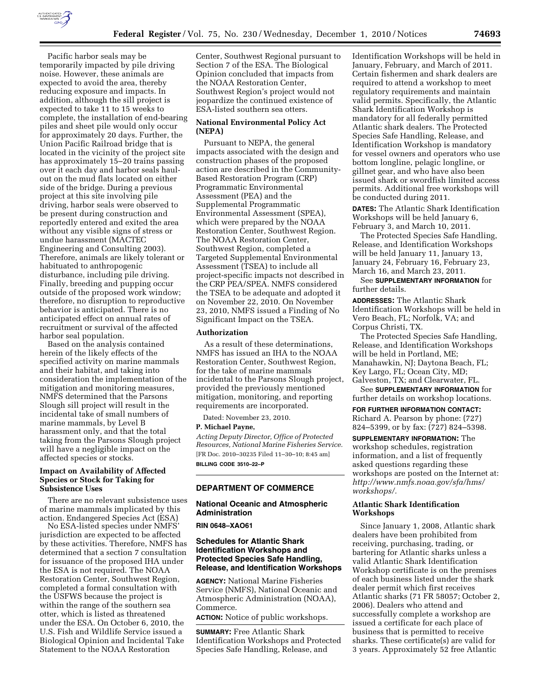

Pacific harbor seals may be temporarily impacted by pile driving noise. However, these animals are expected to avoid the area, thereby reducing exposure and impacts. In addition, although the sill project is expected to take 11 to 15 weeks to complete, the installation of end-bearing piles and sheet pile would only occur for approximately 20 days. Further, the Union Pacific Railroad bridge that is located in the vicinity of the project site has approximately 15–20 trains passing over it each day and harbor seals haulout on the mud flats located on either side of the bridge. During a previous project at this site involving pile driving, harbor seals were observed to be present during construction and reportedly entered and exited the area without any visible signs of stress or undue harassment (MACTEC Engineering and Consulting 2003). Therefore, animals are likely tolerant or habituated to anthropogenic disturbance, including pile driving. Finally, breeding and pupping occur outside of the proposed work window; therefore, no disruption to reproductive behavior is anticipated. There is no anticipated effect on annual rates of recruitment or survival of the affected harbor seal population.

Based on the analysis contained herein of the likely effects of the specified activity on marine mammals and their habitat, and taking into consideration the implementation of the mitigation and monitoring measures, NMFS determined that the Parsons Slough sill project will result in the incidental take of small numbers of marine mammals, by Level B harassment only, and that the total taking from the Parsons Slough project will have a negligible impact on the affected species or stocks.

## **Impact on Availability of Affected Species or Stock for Taking for Subsistence Uses**

There are no relevant subsistence uses of marine mammals implicated by this action. Endangered Species Act (ESA)

No ESA-listed species under NMFS' jurisdiction are expected to be affected by these activities. Therefore, NMFS has determined that a section 7 consultation for issuance of the proposed IHA under the ESA is not required. The NOAA Restoration Center, Southwest Region, completed a formal consultation with the USFWS because the project is within the range of the southern sea otter, which is listed as threatened under the ESA. On October 6, 2010, the U.S. Fish and Wildlife Service issued a Biological Opinion and Incidental Take Statement to the NOAA Restoration

Center, Southwest Regional pursuant to Section 7 of the ESA. The Biological Opinion concluded that impacts from the NOAA Restoration Center, Southwest Region's project would not jeopardize the continued existence of ESA-listed southern sea otters.

## **National Environmental Policy Act (NEPA)**

Pursuant to NEPA, the general impacts associated with the design and construction phases of the proposed action are described in the Community-Based Restoration Program (CRP) Programmatic Environmental Assessment (PEA) and the Supplemental Programmatic Environmental Assessment (SPEA), which were prepared by the NOAA Restoration Center, Southwest Region. The NOAA Restoration Center, Southwest Region, completed a Targeted Supplemental Environmental Assessment (TSEA) to include all project-specific impacts not described in the CRP PEA/SPEA. NMFS considered the TSEA to be adequate and adopted it on November 22, 2010. On November 23, 2010, NMFS issued a Finding of No Significant Impact on the TSEA.

#### **Authorization**

As a result of these determinations, NMFS has issued an IHA to the NOAA Restoration Center, Southwest Region, for the take of marine mammals incidental to the Parsons Slough project, provided the previously mentioned mitigation, monitoring, and reporting requirements are incorporated.

Dated: November 23, 2010.

### **P. Michael Payne,**

*Acting Deputy Director, Office of Protected Resources, National Marine Fisheries Service.*  [FR Doc. 2010–30235 Filed 11–30–10; 8:45 am] **BILLING CODE 3510–22–P** 

### **DEPARTMENT OF COMMERCE**

### **National Oceanic and Atmospheric Administration**

#### **RIN 0648–XAO61**

# **Schedules for Atlantic Shark Identification Workshops and Protected Species Safe Handling, Release, and Identification Workshops**

**AGENCY:** National Marine Fisheries Service (NMFS), National Oceanic and Atmospheric Administration (NOAA), Commerce.

**ACTION:** Notice of public workshops.

**SUMMARY:** Free Atlantic Shark Identification Workshops and Protected Species Safe Handling, Release, and

Identification Workshops will be held in January, February, and March of 2011. Certain fishermen and shark dealers are required to attend a workshop to meet regulatory requirements and maintain valid permits. Specifically, the Atlantic Shark Identification Workshop is mandatory for all federally permitted Atlantic shark dealers. The Protected Species Safe Handling, Release, and Identification Workshop is mandatory for vessel owners and operators who use bottom longline, pelagic longline, or gillnet gear, and who have also been issued shark or swordfish limited access permits. Additional free workshops will be conducted during 2011.

**DATES:** The Atlantic Shark Identification Workshops will be held January 6, February 3, and March 10, 2011.

The Protected Species Safe Handling, Release, and Identification Workshops will be held January 11, January 13, January 24, February 16, February 23, March 16, and March 23, 2011.

See **SUPPLEMENTARY INFORMATION** for further details.

**ADDRESSES:** The Atlantic Shark Identification Workshops will be held in Vero Beach, FL; Norfolk, VA; and Corpus Christi, TX.

The Protected Species Safe Handling, Release, and Identification Workshops will be held in Portland, ME; Manahawkin, NJ; Daytona Beach, FL; Key Largo, FL; Ocean City, MD; Galveston, TX; and Clearwater, FL.

See **SUPPLEMENTARY INFORMATION** for further details on workshop locations.

**FOR FURTHER INFORMATION CONTACT:**  Richard A. Pearson by phone: (727) 824–5399, or by fax: (727) 824–5398.

**SUPPLEMENTARY INFORMATION:** The workshop schedules, registration information, and a list of frequently asked questions regarding these workshops are posted on the Internet at: *[http://www.nmfs.noaa.gov/sfa/hms/](http://www.nmfs.noaa.gov/sfa/hms/workshops/)  [workshops/.](http://www.nmfs.noaa.gov/sfa/hms/workshops/)* 

## **Atlantic Shark Identification Workshops**

Since January 1, 2008, Atlantic shark dealers have been prohibited from receiving, purchasing, trading, or bartering for Atlantic sharks unless a valid Atlantic Shark Identification Workshop certificate is on the premises of each business listed under the shark dealer permit which first receives Atlantic sharks (71 FR 58057; October 2, 2006). Dealers who attend and successfully complete a workshop are issued a certificate for each place of business that is permitted to receive sharks. These certificate(s) are valid for 3 years. Approximately 52 free Atlantic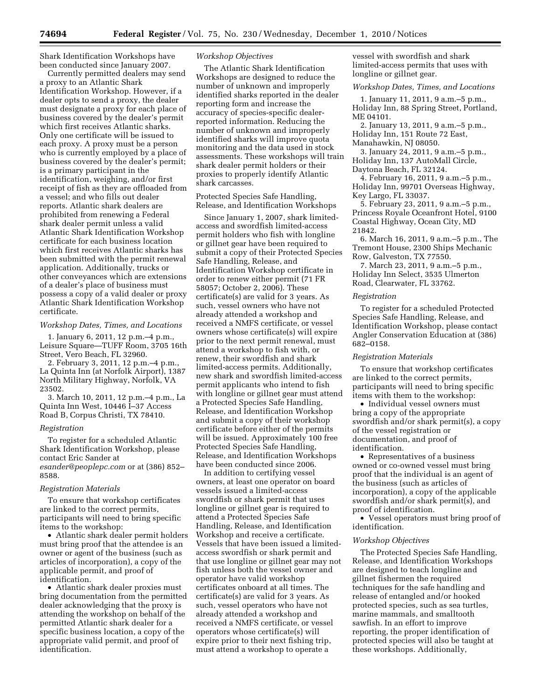Shark Identification Workshops have been conducted since January 2007.

Currently permitted dealers may send a proxy to an Atlantic Shark Identification Workshop. However, if a dealer opts to send a proxy, the dealer must designate a proxy for each place of business covered by the dealer's permit which first receives Atlantic sharks. Only one certificate will be issued to each proxy. A proxy must be a person who is currently employed by a place of business covered by the dealer's permit; is a primary participant in the identification, weighing, and/or first receipt of fish as they are offloaded from a vessel; and who fills out dealer reports. Atlantic shark dealers are prohibited from renewing a Federal shark dealer permit unless a valid Atlantic Shark Identification Workshop certificate for each business location which first receives Atlantic sharks has been submitted with the permit renewal application. Additionally, trucks or other conveyances which are extensions of a dealer's place of business must possess a copy of a valid dealer or proxy Atlantic Shark Identification Workshop certificate.

### *Workshop Dates, Times, and Locations*

1. January 6, 2011, 12 p.m.–4 p.m., Leisure Square—TUFF Room, 3705 16th Street, Vero Beach, FL 32960.

2. February 3, 2011, 12 p.m.–4 p.m., La Quinta Inn (at Norfolk Airport), 1387 North Military Highway, Norfolk, VA 23502.

3. March 10, 2011, 12 p.m.–4 p.m., La Quinta Inn West, 10446 I–37 Access Road B, Corpus Christi, TX 78410.

#### *Registration*

To register for a scheduled Atlantic Shark Identification Workshop, please contact Eric Sander at *[esander@peoplepc.com](mailto:esander@peoplepc.com)* or at (386) 852– 8588.

### *Registration Materials*

To ensure that workshop certificates are linked to the correct permits, participants will need to bring specific items to the workshop:

• Atlantic shark dealer permit holders must bring proof that the attendee is an owner or agent of the business (such as articles of incorporation), a copy of the applicable permit, and proof of identification.

• Atlantic shark dealer proxies must bring documentation from the permitted dealer acknowledging that the proxy is attending the workshop on behalf of the permitted Atlantic shark dealer for a specific business location, a copy of the appropriate valid permit, and proof of identification.

### *Workshop Objectives*

The Atlantic Shark Identification Workshops are designed to reduce the number of unknown and improperly identified sharks reported in the dealer reporting form and increase the accuracy of species-specific dealerreported information. Reducing the number of unknown and improperly identified sharks will improve quota monitoring and the data used in stock assessments. These workshops will train shark dealer permit holders or their proxies to properly identify Atlantic shark carcasses.

Protected Species Safe Handling, Release, and Identification Workshops

Since January 1, 2007, shark limitedaccess and swordfish limited-access permit holders who fish with longline or gillnet gear have been required to submit a copy of their Protected Species Safe Handling, Release, and Identification Workshop certificate in order to renew either permit (71 FR 58057; October 2, 2006). These certificate(s) are valid for 3 years. As such, vessel owners who have not already attended a workshop and received a NMFS certificate, or vessel owners whose certificate(s) will expire prior to the next permit renewal, must attend a workshop to fish with, or renew, their swordfish and shark limited-access permits. Additionally, new shark and swordfish limited-access permit applicants who intend to fish with longline or gillnet gear must attend a Protected Species Safe Handling, Release, and Identification Workshop and submit a copy of their workshop certificate before either of the permits will be issued. Approximately 100 free Protected Species Safe Handling, Release, and Identification Workshops have been conducted since 2006.

In addition to certifying vessel owners, at least one operator on board vessels issued a limited-access swordfish or shark permit that uses longline or gillnet gear is required to attend a Protected Species Safe Handling, Release, and Identification Workshop and receive a certificate. Vessels that have been issued a limitedaccess swordfish or shark permit and that use longline or gillnet gear may not fish unless both the vessel owner and operator have valid workshop certificates onboard at all times. The certificate(s) are valid for 3 years. As such, vessel operators who have not already attended a workshop and received a NMFS certificate, or vessel operators whose certificate(s) will expire prior to their next fishing trip, must attend a workshop to operate a

vessel with swordfish and shark limited-access permits that uses with longline or gillnet gear.

*Workshop Dates, Times, and Locations* 

1. January 11, 2011, 9 a.m.–5 p.m., Holiday Inn, 88 Spring Street, Portland, ME 04101.

2. January 13, 2011, 9 a.m.–5 p.m., Holiday Inn, 151 Route 72 East,

Manahawkin, NJ 08050.

3. January 24, 2011, 9 a.m.–5 p.m., Holiday Inn, 137 AutoMall Circle, Daytona Beach, FL 32124.

4. February 16, 2011, 9 a.m.–5 p.m., Holiday Inn, 99701 Overseas Highway, Key Largo, FL 33037.

5. February 23, 2011, 9 a.m.–5 p.m., Princess Royale Oceanfront Hotel, 9100 Coastal Highway, Ocean City, MD 21842.

6. March 16, 2011, 9 a.m.–5 p.m., The Tremont House, 2300 Ships Mechanic Row, Galveston, TX 77550.

7. March 23, 2011, 9 a.m.–5 p.m., Holiday Inn Select, 3535 Ulmerton Road, Clearwater, FL 33762.

#### *Registration*

To register for a scheduled Protected Species Safe Handling, Release, and Identification Workshop, please contact Angler Conservation Education at (386) 682–0158.

#### *Registration Materials*

To ensure that workshop certificates are linked to the correct permits, participants will need to bring specific items with them to the workshop:

• Individual vessel owners must bring a copy of the appropriate swordfish and/or shark permit(s), a copy of the vessel registration or documentation, and proof of identification.

• Representatives of a business owned or co-owned vessel must bring proof that the individual is an agent of the business (such as articles of incorporation), a copy of the applicable swordfish and/or shark permit(s), and proof of identification.

• Vessel operators must bring proof of identification.

### *Workshop Objectives*

The Protected Species Safe Handling, Release, and Identification Workshops are designed to teach longline and gillnet fishermen the required techniques for the safe handling and release of entangled and/or hooked protected species, such as sea turtles, marine mammals, and smalltooth sawfish. In an effort to improve reporting, the proper identification of protected species will also be taught at these workshops. Additionally,